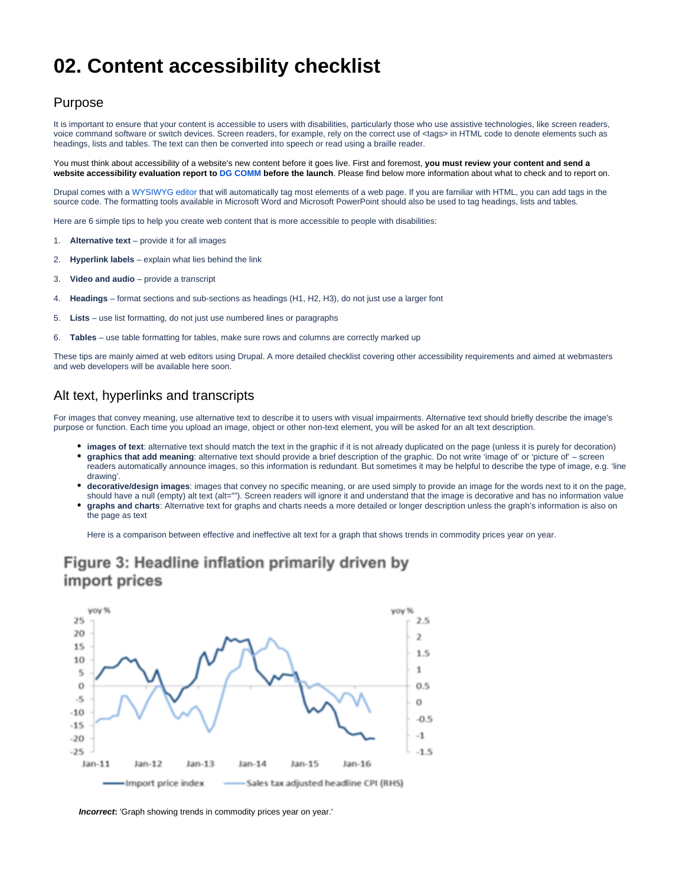# **02. Content accessibility checklist**

## Purpose

It is important to ensure that your content is accessible to users with disabilities, particularly those who use assistive technologies, like screen readers, voice command software or switch devices. Screen readers, for example, rely on the correct use of <tags> in HTML code to denote elements such as headings, lists and tables. The text can then be converted into speech or read using a braille reader.

You must think about accessibility of a website's new content before it goes live. First and foremost, **you must review your content and send a website accessibility evaluation report to [DG COMM](mailto:COMM%20EUROPA%20MANAGEMENT%20%3cEuropamanagement@ec.europa.eu%3e) before the launch**. Please find below more information about what to check and to report on.

Drupal comes with a [WYSIWYG editor](https://en.wikipedia.org/wiki/WYSIWYG) that will automatically tag most elements of a web page. If you are familiar with HTML, you can add tags in the source code. The formatting tools available in Microsoft Word and Microsoft PowerPoint should also be used to tag headings, lists and tables.

Here are 6 simple tips to help you create web content that is more accessible to people with disabilities:

- 1. **Alternative text**  provide it for all images
- 2. **Hyperlink labels**  explain what lies behind the link
- 3. **Video and audio**  provide a transcript
- 4. **Headings**  format sections and sub-sections as headings (H1, H2, H3), do not just use a larger font
- 5. **Lists**  use list formatting, do not just use numbered lines or paragraphs
- 6. **Tables**  use table formatting for tables, make sure rows and columns are correctly marked up

These tips are mainly aimed at web editors using Drupal. A more detailed checklist covering other accessibility requirements and aimed at webmasters and web developers will be available here soon.

## Alt text, hyperlinks and transcripts

For images that convey meaning, use alternative text to describe it to users with visual impairments. Alternative text should briefly describe the image's purpose or function. Each time you upload an image, object or other non-text element, you will be asked for an alt text description.

- **images of text**: alternative text should match the text in the graphic if it is not already duplicated on the page (unless it is purely for decoration)
- **graphics that add meaning**: alternative text should provide a brief description of the graphic. Do not write 'image of' or 'picture of' screen readers automatically announce images, so this information is redundant. But sometimes it may be helpful to describe the type of image, e.g. 'line drawing'.
- **decorative/design images**: images that convey no specific meaning, or are used simply to provide an image for the words next to it on the page, should have a null (empty) alt text (alt=""). Screen readers will ignore it and understand that the image is decorative and has no information value
- **graphs and charts**: Alternative text for graphs and charts needs a more detailed or longer description unless the graph's information is also on the page as text

Here is a comparison between effective and ineffective alt text for a graph that shows trends in commodity prices year on year.

## Figure 3: Headline inflation primarily driven by import prices



**Incorrect:** 'Graph showing trends in commodity prices year on year.'